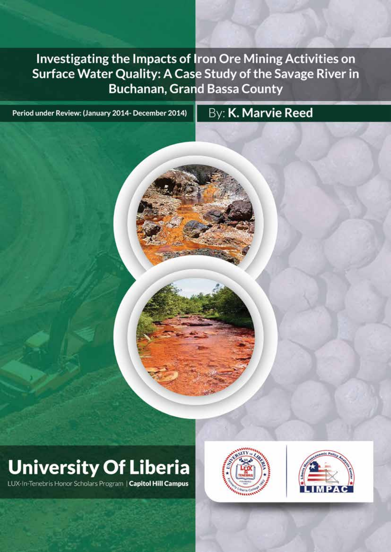**Investigating the Impacts of Iron Ore Mining Activities on Surface Water Quality: A Case Study of the Savage River in Buchanan, Grand Bassa County** 

**Investigating the Impacts of Iron Ore Mining Activities on** 

**Surface Water Quality: A Case Study of the Savage River in** 

**Buchanan, Grand Bassa County**

**ACID MINE DRAINAGE**

Period under Review: (January 2014- December 2014)

# **University Of Liberia**

LUX-In-Tenebris Honor Scholars Program | Capitol Hill Campus



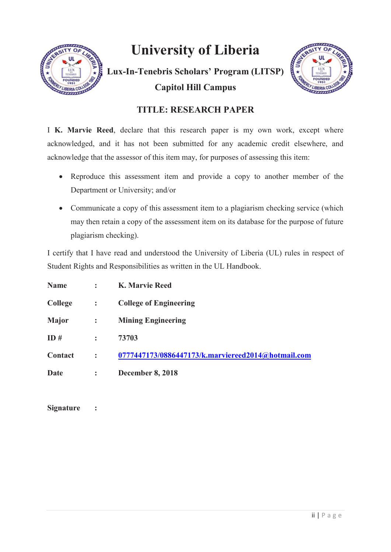

## **University of Liberia**

**Lux-In-Tenebris Scholars' Program (LITSP) Capitol Hill Campus**



## **TITLE: RESEARCH PAPER**

I **K. Marvie Reed**, declare that this research paper is my own work, except where acknowledged, and it has not been submitted for any academic credit elsewhere, and acknowledge that the assessor of this item may, for purposes of assessing this item:

- Reproduce this assessment item and provide a copy to another member of the Department or University; and/or
- Communicate a copy of this assessment item to a plagiarism checking service (which may then retain a copy of the assessment item on its database for the purpose of future plagiarism checking).

I certify that I have read and understood the University of Liberia (UL) rules in respect of Student Rights and Responsibilities as written in the UL Handbook.

| <b>Name</b>    |                      | <b>K. Marvie Reed</b>                              |
|----------------|----------------------|----------------------------------------------------|
| <b>College</b> | $\ddot{\cdot}$       | <b>College of Engineering</b>                      |
| <b>Major</b>   | $\ddot{\cdot}$       | <b>Mining Engineering</b>                          |
| ID#            |                      | 73703                                              |
| Contact        | $\ddot{\phantom{a}}$ | 0777447173/0886447173/k.marviereed2014@hotmail.com |
| Date           | $\ddot{\cdot}$       | <b>December 8, 2018</b>                            |

**Signature :**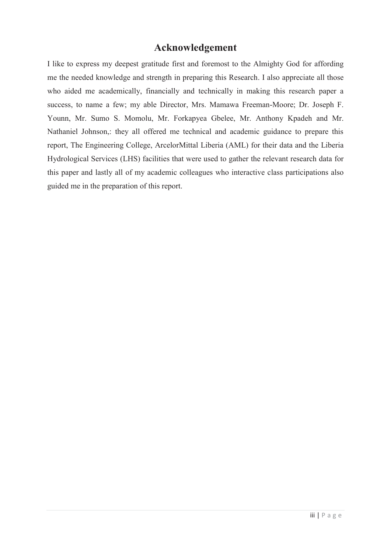#### **Acknowledgement**

I like to express my deepest gratitude first and foremost to the Almighty God for affording me the needed knowledge and strength in preparing this Research. I also appreciate all those who aided me academically, financially and technically in making this research paper a success, to name a few; my able Director, Mrs. Mamawa Freeman-Moore; Dr. Joseph F. Younn, Mr. Sumo S. Momolu, Mr. Forkapyea Gbelee, Mr. Anthony Kpadeh and Mr. Nathaniel Johnson,: they all offered me technical and academic guidance to prepare this report, The Engineering College, ArcelorMittal Liberia (AML) for their data and the Liberia Hydrological Services (LHS) facilities that were used to gather the relevant research data for this paper and lastly all of my academic colleagues who interactive class participations also guided me in the preparation of this report.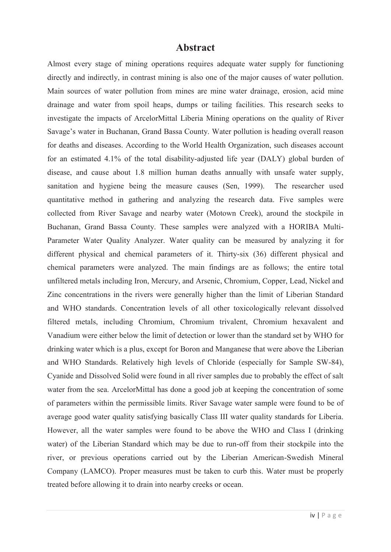#### **Abstract**

Almost every stage of mining operations requires adequate water supply for functioning directly and indirectly, in contrast mining is also one of the major causes of water pollution. Main sources of water pollution from mines are mine water drainage, erosion, acid mine drainage and water from spoil heaps, dumps or tailing facilities. This research seeks to investigate the impacts of ArcelorMittal Liberia Mining operations on the quality of River Savage's water in Buchanan, Grand Bassa County. Water pollution is heading overall reason for deaths and diseases. According to the World Health Organization, such diseases account for an estimated 4.1% of the total disability-adjusted life year (DALY) global burden of disease, and cause about 1.8 million human deaths annually with unsafe water supply, sanitation and hygiene being the measure causes (Sen, 1999). The researcher used quantitative method in gathering and analyzing the research data. Five samples were collected from River Savage and nearby water (Motown Creek), around the stockpile in Buchanan, Grand Bassa County. These samples were analyzed with a HORIBA Multi-Parameter Water Quality Analyzer. Water quality can be measured by analyzing it for different physical and chemical parameters of it. Thirty-six (36) different physical and chemical parameters were analyzed. The main findings are as follows; the entire total unfiltered metals including Iron, Mercury, and Arsenic, Chromium, Copper, Lead, Nickel and Zinc concentrations in the rivers were generally higher than the limit of Liberian Standard and WHO standards. Concentration levels of all other toxicologically relevant dissolved filtered metals, including Chromium, Chromium trivalent, Chromium hexavalent and Vanadium were either below the limit of detection or lower than the standard set by WHO for drinking water which is a plus, except for Boron and Manganese that were above the Liberian and WHO Standards. Relatively high levels of Chloride (especially for Sample SW-84), Cyanide and Dissolved Solid were found in all river samples due to probably the effect of salt water from the sea. ArcelorMittal has done a good job at keeping the concentration of some of parameters within the permissible limits. River Savage water sample were found to be of average good water quality satisfying basically Class III water quality standards for Liberia. However, all the water samples were found to be above the WHO and Class I (drinking water) of the Liberian Standard which may be due to run-off from their stockpile into the river, or previous operations carried out by the Liberian American-Swedish Mineral Company (LAMCO). Proper measures must be taken to curb this. Water must be properly treated before allowing it to drain into nearby creeks or ocean.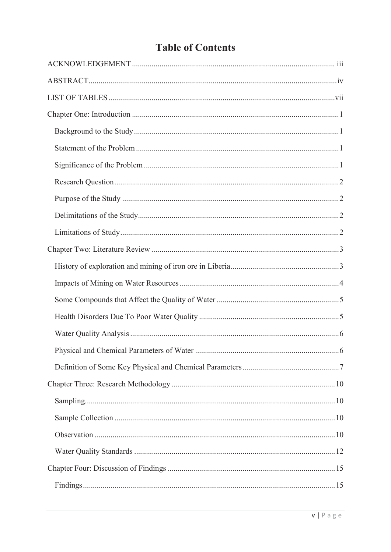## **Table of Contents**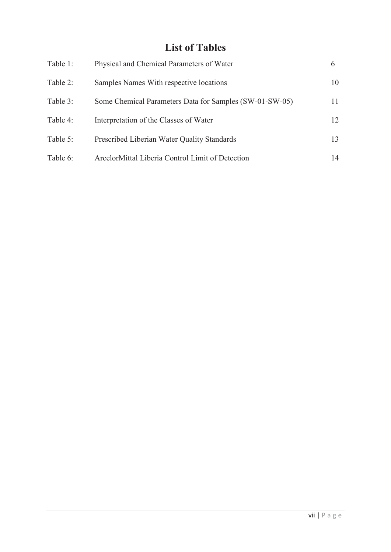## **List of Tables**

| Table 1: | Physical and Chemical Parameters of Water               | $\mathfrak b$ |
|----------|---------------------------------------------------------|---------------|
| Table 2: | Samples Names With respective locations                 | 10            |
| Table 3: | Some Chemical Parameters Data for Samples (SW-01-SW-05) | 11            |
| Table 4: | Interpretation of the Classes of Water                  | 12.           |
| Table 5: | Prescribed Liberian Water Quality Standards             | 13            |
| Table 6: | ArcelorMittal Liberia Control Limit of Detection        | 14            |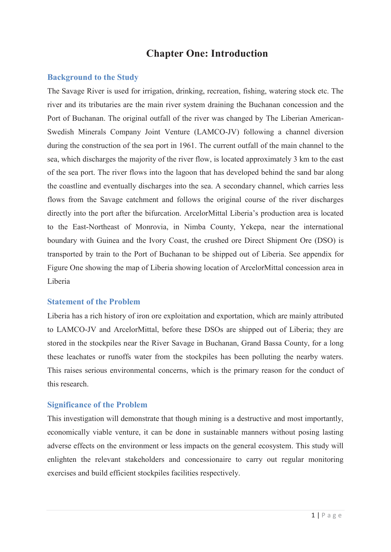## **Chapter One: Introduction**

#### **Background to the Study**

The Savage River is used for irrigation, drinking, recreation, fishing, watering stock etc. The river and its tributaries are the main river system draining the Buchanan concession and the Port of Buchanan. The original outfall of the river was changed by The Liberian American-Swedish Minerals Company Joint Venture (LAMCO-JV) following a channel diversion during the construction of the sea port in 1961. The current outfall of the main channel to the sea, which discharges the majority of the river flow, is located approximately 3 km to the east of the sea port. The river flows into the lagoon that has developed behind the sand bar along the coastline and eventually discharges into the sea. A secondary channel, which carries less flows from the Savage catchment and follows the original course of the river discharges directly into the port after the bifurcation. ArcelorMittal Liberia's production area is located to the East-Northeast of Monrovia, in Nimba County, Yekepa, near the international boundary with Guinea and the Ivory Coast, the crushed ore Direct Shipment Ore (DSO) is transported by train to the Port of Buchanan to be shipped out of Liberia. See appendix for Figure One showing the map of Liberia showing location of ArcelorMittal concession area in Liberia

#### **Statement of the Problem**

Liberia has a rich history of iron ore exploitation and exportation, which are mainly attributed to LAMCO-JV and ArcelorMittal, before these DSOs are shipped out of Liberia; they are stored in the stockpiles near the River Savage in Buchanan, Grand Bassa County, for a long these leachates or runoffs water from the stockpiles has been polluting the nearby waters. This raises serious environmental concerns, which is the primary reason for the conduct of this research.

#### **Significance of the Problem**

This investigation will demonstrate that though mining is a destructive and most importantly, economically viable venture, it can be done in sustainable manners without posing lasting adverse effects on the environment or less impacts on the general ecosystem. This study will enlighten the relevant stakeholders and concessionaire to carry out regular monitoring exercises and build efficient stockpiles facilities respectively.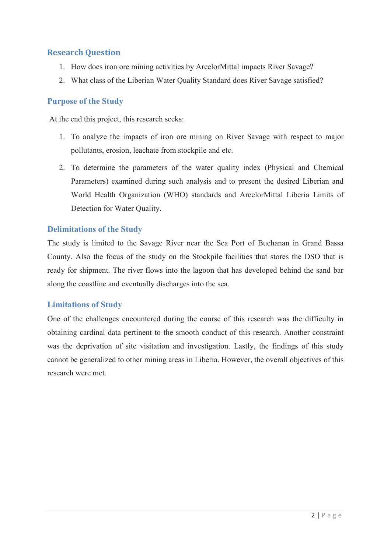#### **Research Question**

- 1. How does iron ore mining activities by ArcelorMittal impacts River Savage?
- 2. What class of the Liberian Water Quality Standard does River Savage satisfied?

#### **Purpose of the Study**

At the end this project, this research seeks:

- 1. To analyze the impacts of iron ore mining on River Savage with respect to major pollutants, erosion, leachate from stockpile and etc.
- 2. To determine the parameters of the water quality index (Physical and Chemical Parameters) examined during such analysis and to present the desired Liberian and World Health Organization (WHO) standards and ArcelorMittal Liberia Limits of Detection for Water Quality.

#### **Delimitations of the Study**

The study is limited to the Savage River near the Sea Port of Buchanan in Grand Bassa County. Also the focus of the study on the Stockpile facilities that stores the DSO that is ready for shipment. The river flows into the lagoon that has developed behind the sand bar along the coastline and eventually discharges into the sea.

#### **Limitations of Study**

One of the challenges encountered during the course of this research was the difficulty in obtaining cardinal data pertinent to the smooth conduct of this research. Another constraint was the deprivation of site visitation and investigation. Lastly, the findings of this study cannot be generalized to other mining areas in Liberia. However, the overall objectives of this research were met.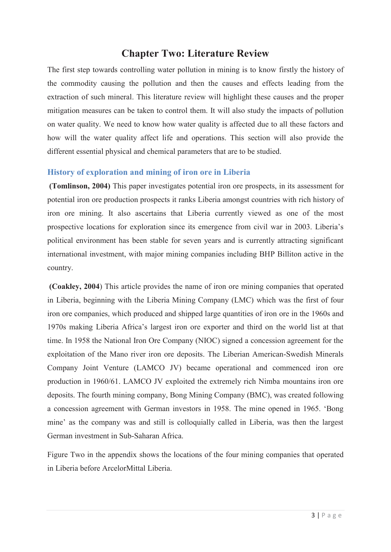## **Chapter Two: Literature Review**

The first step towards controlling water pollution in mining is to know firstly the history of the commodity causing the pollution and then the causes and effects leading from the extraction of such mineral. This literature review will highlight these causes and the proper mitigation measures can be taken to control them. It will also study the impacts of pollution on water quality. We need to know how water quality is affected due to all these factors and how will the water quality affect life and operations. This section will also provide the different essential physical and chemical parameters that are to be studied.

#### **History of exploration and mining of iron ore in Liberia**

**(Tomlinson, 2004)** This paper investigates potential iron ore prospects, in its assessment for potential iron ore production prospects it ranks Liberia amongst countries with rich history of iron ore mining. It also ascertains that Liberia currently viewed as one of the most prospective locations for exploration since its emergence from civil war in 2003. Liberia's political environment has been stable for seven years and is currently attracting significant international investment, with major mining companies including BHP Billiton active in the country.

**(Coakley, 2004**) This article provides the name of iron ore mining companies that operated in Liberia, beginning with the Liberia Mining Company (LMC) which was the first of four iron ore companies, which produced and shipped large quantities of iron ore in the 1960s and 1970s making Liberia Africa's largest iron ore exporter and third on the world list at that time. In 1958 the National Iron Ore Company (NIOC) signed a concession agreement for the exploitation of the Mano river iron ore deposits. The Liberian American-Swedish Minerals Company Joint Venture (LAMCO JV) became operational and commenced iron ore production in 1960/61. LAMCO JV exploited the extremely rich Nimba mountains iron ore deposits. The fourth mining company, Bong Mining Company (BMC), was created following a concession agreement with German investors in 1958. The mine opened in 1965. 'Bong mine' as the company was and still is colloquially called in Liberia, was then the largest German investment in Sub-Saharan Africa.

Figure Two in the appendix shows the locations of the four mining companies that operated in Liberia before ArcelorMittal Liberia.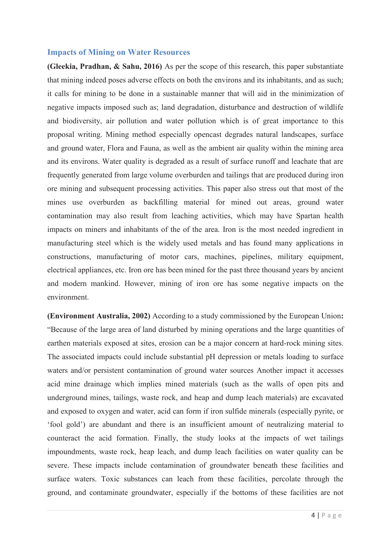#### **Impacts of Mining on Water Resources**

**(Gleekia, Pradhan, & Sahu, 2016)** As per the scope of this research, this paper substantiate that mining indeed poses adverse effects on both the environs and its inhabitants, and as such; it calls for mining to be done in a sustainable manner that will aid in the minimization of negative impacts imposed such as; land degradation, disturbance and destruction of wildlife and biodiversity, air pollution and water pollution which is of great importance to this proposal writing. Mining method especially opencast degrades natural landscapes, surface and ground water, Flora and Fauna, as well as the ambient air quality within the mining area and its environs. Water quality is degraded as a result of surface runoff and leachate that are frequently generated from large volume overburden and tailings that are produced during iron ore mining and subsequent processing activities. This paper also stress out that most of the mines use overburden as backfilling material for mined out areas, ground water contamination may also result from leaching activities, which may have Spartan health impacts on miners and inhabitants of the of the area. Iron is the most needed ingredient in manufacturing steel which is the widely used metals and has found many applications in constructions, manufacturing of motor cars, machines, pipelines, military equipment, electrical appliances, etc. Iron ore has been mined for the past three thousand years by ancient and modern mankind. However, mining of iron ore has some negative impacts on the environment.

**(Environment Australia, 2002)** According to a study commissioned by the European Union**:**  "Because of the large area of land disturbed by mining operations and the large quantities of earthen materials exposed at sites, erosion can be a major concern at hard-rock mining sites. The associated impacts could include substantial pH depression or metals loading to surface waters and/or persistent contamination of ground water sources Another impact it accesses acid mine drainage which implies mined materials (such as the walls of open pits and underground mines, tailings, waste rock, and heap and dump leach materials) are excavated and exposed to oxygen and water, acid can form if iron sulfide minerals (especially pyrite, or 'fool gold') are abundant and there is an insufficient amount of neutralizing material to counteract the acid formation. Finally, the study looks at the impacts of wet tailings impoundments, waste rock, heap leach, and dump leach facilities on water quality can be severe. These impacts include contamination of groundwater beneath these facilities and surface waters. Toxic substances can leach from these facilities, percolate through the ground, and contaminate groundwater, especially if the bottoms of these facilities are not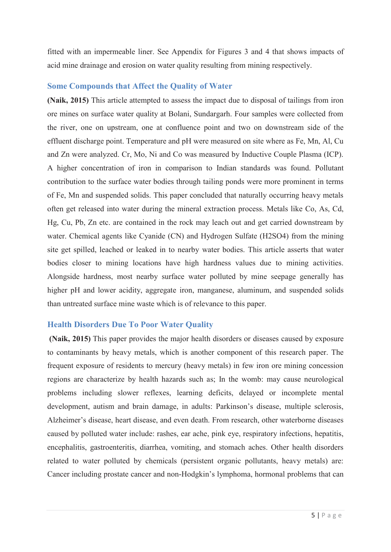fitted with an impermeable liner. See Appendix for Figures 3 and 4 that shows impacts of acid mine drainage and erosion on water quality resulting from mining respectively.

#### **Some Compounds that Affect the Quality of Water**

**(Naik, 2015)** This article attempted to assess the impact due to disposal of tailings from iron ore mines on surface water quality at Bolani, Sundargarh. Four samples were collected from the river, one on upstream, one at confluence point and two on downstream side of the effluent discharge point. Temperature and pH were measured on site where as Fe, Mn, Al, Cu and Zn were analyzed. Cr, Mo, Ni and Co was measured by Inductive Couple Plasma (ICP). A higher concentration of iron in comparison to Indian standards was found. Pollutant contribution to the surface water bodies through tailing ponds were more prominent in terms of Fe, Mn and suspended solids. This paper concluded that naturally occurring heavy metals often get released into water during the mineral extraction process. Metals like Co, As, Cd, Hg, Cu, Pb, Zn etc. are contained in the rock may leach out and get carried downstream by water. Chemical agents like Cyanide (CN) and Hydrogen Sulfate (H2SO4) from the mining site get spilled, leached or leaked in to nearby water bodies. This article asserts that water bodies closer to mining locations have high hardness values due to mining activities. Alongside hardness, most nearby surface water polluted by mine seepage generally has higher pH and lower acidity, aggregate iron, manganese, aluminum, and suspended solids than untreated surface mine waste which is of relevance to this paper.

#### **Health Disorders Due To Poor Water Quality**

**(Naik, 2015)** This paper provides the major health disorders or diseases caused by exposure to contaminants by heavy metals, which is another component of this research paper. The frequent exposure of residents to mercury (heavy metals) in few iron ore mining concession regions are characterize by health hazards such as; In the womb: may cause neurological problems including slower reflexes, learning deficits, delayed or incomplete mental development, autism and brain damage, in adults: Parkinson's disease, multiple sclerosis, Alzheimer's disease, heart disease, and even death. From research, other waterborne diseases caused by polluted water include: rashes, ear ache, pink eye, respiratory infections, hepatitis, encephalitis, gastroenteritis, diarrhea, vomiting, and stomach aches. Other health disorders related to water polluted by chemicals (persistent organic pollutants, heavy metals) are: Cancer including prostate cancer and non-Hodgkin's lymphoma, hormonal problems that can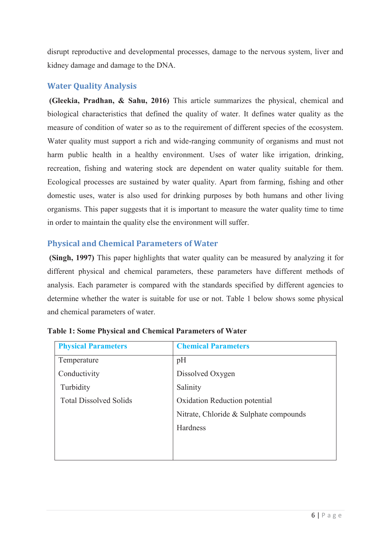disrupt reproductive and developmental processes, damage to the nervous system, liver and kidney damage and damage to the DNA.

#### **Water Quality Analysis**

**(Gleekia, Pradhan, & Sahu, 2016)** This article summarizes the physical, chemical and biological characteristics that defined the quality of water. It defines water quality as the measure of condition of water so as to the requirement of different species of the ecosystem. Water quality must support a rich and wide-ranging community of organisms and must not harm public health in a healthy environment. Uses of water like irrigation, drinking, recreation, fishing and watering stock are dependent on water quality suitable for them. Ecological processes are sustained by water quality. Apart from farming, fishing and other domestic uses, water is also used for drinking purposes by both humans and other living organisms. This paper suggests that it is important to measure the water quality time to time in order to maintain the quality else the environment will suffer.

#### **Physical and Chemical Parameters of Water**

**(Singh, 1997)** This paper highlights that water quality can be measured by analyzing it for different physical and chemical parameters, these parameters have different methods of analysis. Each parameter is compared with the standards specified by different agencies to determine whether the water is suitable for use or not. Table 1 below shows some physical and chemical parameters of water.

| <b>Physical Parameters</b>    | <b>Chemical Parameters</b>             |  |  |  |  |
|-------------------------------|----------------------------------------|--|--|--|--|
| Temperature                   | pH                                     |  |  |  |  |
| Conductivity                  | Dissolved Oxygen                       |  |  |  |  |
| Turbidity                     | Salinity                               |  |  |  |  |
| <b>Total Dissolved Solids</b> | Oxidation Reduction potential          |  |  |  |  |
|                               | Nitrate, Chloride & Sulphate compounds |  |  |  |  |
|                               | Hardness                               |  |  |  |  |
|                               |                                        |  |  |  |  |
|                               |                                        |  |  |  |  |

| <b>Table 1: Some Physical and Chemical Parameters of Water</b> |
|----------------------------------------------------------------|
|----------------------------------------------------------------|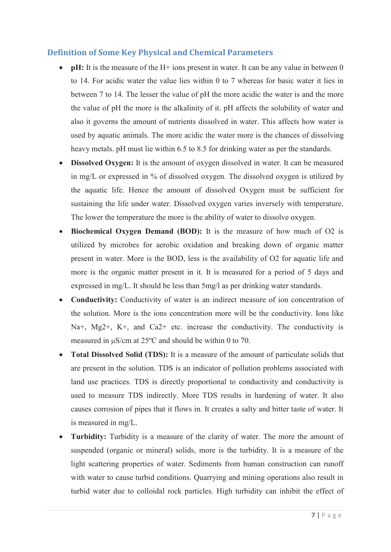#### **Definition of Some Key Physical and Chemical Parameters**

- pH: It is the measure of the H+ ions present in water. It can be any value in between 0 to 14. For acidic water the value lies within 0 to 7 whereas for basic water it lies in between 7 to 14. The lesser the value of pH the more acidic the water is and the more the value of pH the more is the alkalinity of it. pH affects the solubility of water and also it governs the amount of nutrients dissolved in water. This affects how water is used by aquatic animals. The more acidic the water more is the chances of dissolving heavy metals. pH must lie within 6.5 to 8.5 for drinking water as per the standards.
- **Dissolved Oxygen:** It is the amount of oxygen dissolved in water. It can be measured in mg/L or expressed in % of dissolved oxygen. The dissolved oxygen is utilized by the aquatic life. Hence the amount of dissolved Oxygen must be sufficient for sustaining the life under water. Dissolved oxygen varies inversely with temperature. The lower the temperature the more is the ability of water to dissolve oxygen.
- Biochemical Oxygen Demand (BOD): It is the measure of how much of O2 is utilized by microbes for aerobic oxidation and breaking down of organic matter present in water. More is the BOD, less is the availability of O2 for aquatic life and more is the organic matter present in it. It is measured for a period of 5 days and expressed in mg/L. It should be less than 5mg/l as per drinking water standards.
- **Conductivity:** Conductivity of water is an indirect measure of ion concentration of the solution. More is the ions concentration more will be the conductivity. Ions like Na+, Mg2+, K+, and Ca2+ etc. increase the conductivity. The conductivity is measured in  $\mu$ S/cm at 25°C and should be within 0 to 70.
- **Total Dissolved Solid (TDS):** It is a measure of the amount of particulate solids that are present in the solution. TDS is an indicator of pollution problems associated with land use practices. TDS is directly proportional to conductivity and conductivity is used to measure TDS indirectly. More TDS results in hardening of water. It also causes corrosion of pipes that it flows in. It creates a salty and bitter taste of water. It is measured in mg/L.
- **Turbidity:** Turbidity is a measure of the clarity of water. The more the amount of suspended (organic or mineral) solids, more is the turbidity. It is a measure of the light scattering properties of water. Sediments from human construction can runoff with water to cause turbid conditions. Quarrying and mining operations also result in turbid water due to colloidal rock particles. High turbidity can inhibit the effect of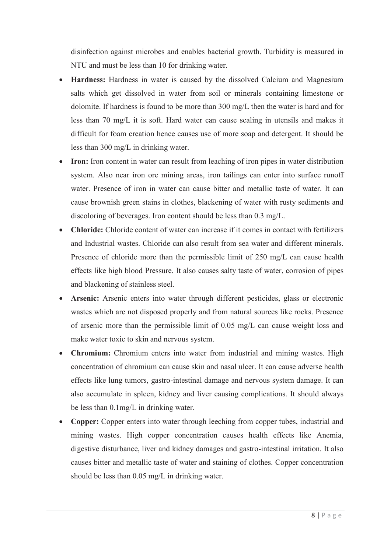disinfection against microbes and enables bacterial growth. Turbidity is measured in NTU and must be less than 10 for drinking water.

- **Hardness:** Hardness in water is caused by the dissolved Calcium and Magnesium salts which get dissolved in water from soil or minerals containing limestone or dolomite. If hardness is found to be more than 300 mg/L then the water is hard and for less than 70 mg/L it is soft. Hard water can cause scaling in utensils and makes it difficult for foam creation hence causes use of more soap and detergent. It should be less than 300 mg/L in drinking water.
- **Iron:** Iron content in water can result from leaching of iron pipes in water distribution system. Also near iron ore mining areas, iron tailings can enter into surface runoff water. Presence of iron in water can cause bitter and metallic taste of water. It can cause brownish green stains in clothes, blackening of water with rusty sediments and discoloring of beverages. Iron content should be less than 0.3 mg/L.
- **Chloride:** Chloride content of water can increase if it comes in contact with fertilizers and Industrial wastes. Chloride can also result from sea water and different minerals. Presence of chloride more than the permissible limit of 250 mg/L can cause health effects like high blood Pressure. It also causes salty taste of water, corrosion of pipes and blackening of stainless steel.
- **Arsenic:** Arsenic enters into water through different pesticides, glass or electronic wastes which are not disposed properly and from natural sources like rocks. Presence of arsenic more than the permissible limit of 0.05 mg/L can cause weight loss and make water toxic to skin and nervous system.
- Chromium: Chromium enters into water from industrial and mining wastes. High concentration of chromium can cause skin and nasal ulcer. It can cause adverse health effects like lung tumors, gastro-intestinal damage and nervous system damage. It can also accumulate in spleen, kidney and liver causing complications. It should always be less than 0.1mg/L in drinking water.
- Copper: Copper enters into water through leeching from copper tubes, industrial and mining wastes. High copper concentration causes health effects like Anemia, digestive disturbance, liver and kidney damages and gastro-intestinal irritation. It also causes bitter and metallic taste of water and staining of clothes. Copper concentration should be less than 0.05 mg/L in drinking water.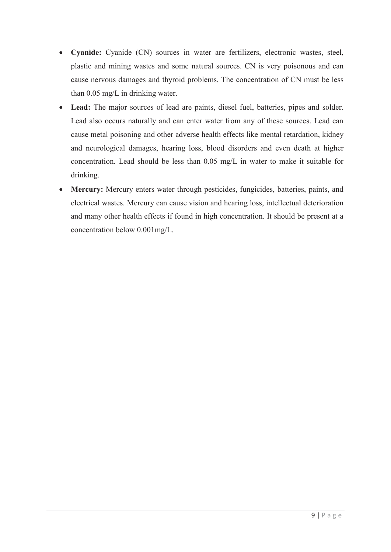- **Cyanide:** Cyanide (CN) sources in water are fertilizers, electronic wastes, steel, plastic and mining wastes and some natural sources. CN is very poisonous and can cause nervous damages and thyroid problems. The concentration of CN must be less than 0.05 mg/L in drinking water.
- **Lead:** The major sources of lead are paints, diesel fuel, batteries, pipes and solder. Lead also occurs naturally and can enter water from any of these sources. Lead can cause metal poisoning and other adverse health effects like mental retardation, kidney and neurological damages, hearing loss, blood disorders and even death at higher concentration. Lead should be less than 0.05 mg/L in water to make it suitable for drinking.
- **Mercury:** Mercury enters water through pesticides, fungicides, batteries, paints, and electrical wastes. Mercury can cause vision and hearing loss, intellectual deterioration and many other health effects if found in high concentration. It should be present at a concentration below 0.001mg/L.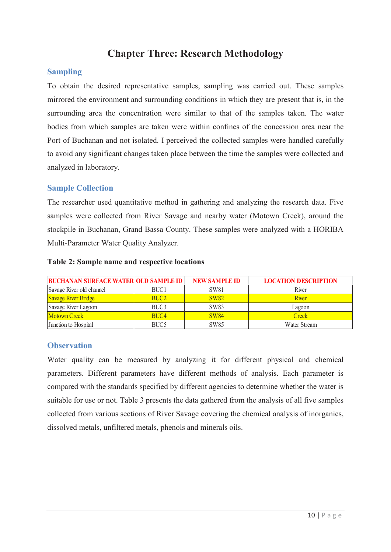## **Chapter Three: Research Methodology**

#### **Sampling**

To obtain the desired representative samples, sampling was carried out. These samples mirrored the environment and surrounding conditions in which they are present that is, in the surrounding area the concentration were similar to that of the samples taken. The water bodies from which samples are taken were within confines of the concession area near the Port of Buchanan and not isolated. I perceived the collected samples were handled carefully to avoid any significant changes taken place between the time the samples were collected and analyzed in laboratory.

#### **Sample Collection**

The researcher used quantitative method in gathering and analyzing the research data. Five samples were collected from River Savage and nearby water (Motown Creek), around the stockpile in Buchanan, Grand Bassa County. These samples were analyzed with a HORIBA Multi-Parameter Water Quality Analyzer.

| <b>BUCHANAN SURFACE WATER OLD SAMPLE ID</b> |                  | <b>NEW SAMPLE ID</b> | <b>LOCATION DESCRIPTION</b> |
|---------------------------------------------|------------------|----------------------|-----------------------------|
| Savage River old channel                    | BUC <sub>1</sub> | <b>SW81</b>          | River                       |
| <b>Savage River Bridge</b>                  | BUC <sub>2</sub> | <b>SW82</b>          | River                       |
| Savage River Lagoon                         | BUC <sub>3</sub> | <b>SW83</b>          | Lagoon                      |
| <b>Motown Creek</b>                         | BUC <sub>4</sub> | <b>SW84</b>          | Creek                       |
| Junction to Hospital                        | BUC <sub>5</sub> | SW85                 | Water Stream                |

#### **Table 2: Sample name and respective locations**

#### **Observation**

Water quality can be measured by analyzing it for different physical and chemical parameters. Different parameters have different methods of analysis. Each parameter is compared with the standards specified by different agencies to determine whether the water is suitable for use or not. Table 3 presents the data gathered from the analysis of all five samples collected from various sections of River Savage covering the chemical analysis of inorganics, dissolved metals, unfiltered metals, phenols and minerals oils.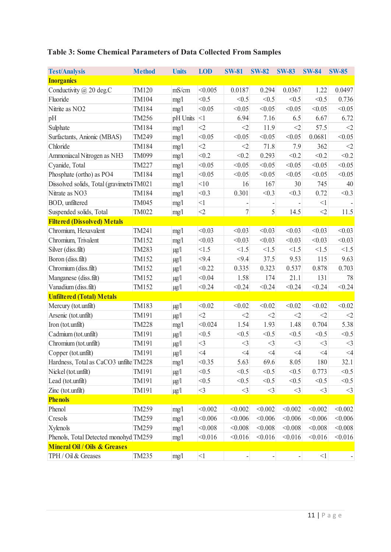## **Table 3: Some Chemical Parameters of Data Collected From Samples**

| <b>Test/Analysis</b>                      | <b>Method</b> | <b>Units</b> | <b>LOD</b> | <b>SW-81</b>     | <b>SW-82</b> | <b>SW-83</b> | <b>SW-84</b> | <b>SW-85</b> |
|-------------------------------------------|---------------|--------------|------------|------------------|--------------|--------------|--------------|--------------|
| <b>Inorganics</b>                         |               |              |            |                  |              |              |              |              |
| Conductivity $(a)$ 20 deg.C               | TM120         | mS/cm        | < 0.005    | 0.0187           | 0.294        | 0.0367       | 1.22         | 0.0497       |
| Fluoride                                  | TM104         | mg/1         | < 0.5      | < 0.5            | < 0.5        | < 0.5        | < 0.5        | 0.736        |
| Nitrite as NO <sub>2</sub>                | TM184         | mg/1         | < 0.05     | < 0.05           | < 0.05       | < 0.05       | < 0.05       | < 0.05       |
| pH                                        | TM256         | pH Units     | $<$ 1      | 6.94             | 7.16         | 6.5          | 6.67         | 6.72         |
| Sulphate                                  | TM184         | mg/1         | $\leq$ 2   | $<$ 2            | 11.9         | $<$ 2        | 57.5         | $<$ 2        |
| Surfactants, Anionic (MBAS)               | TM249         | mg/1         | < 0.05     | < 0.05           | < 0.05       | < 0.05       | 0.0681       | < 0.05       |
| Chloride                                  | TM184         | mg/1         | $<$ 2      | $<$ 2            | 71.8         | 7.9          | 362          | $<$ 2        |
| Ammoniacal Nitrogen as NH3                | TM099         | mg/1         | < 0.2      | < 0.2            | 0.293        | < 0.2        | < 0.2        | < 0.2        |
| Cyanide, Total                            | TM227         | mg/1         | < 0.05     | < 0.05           | < 0.05       | < 0.05       | < 0.05       | < 0.05       |
| Phosphate (ortho) as PO4                  | TM184         | mg/1         | < 0.05     | < 0.05           | < 0.05       | < 0.05       | < 0.05       | < 0.05       |
| Dissolved solids, Total (gravimetri TM021 |               | mg/1         | < 10       | 16               | 167          | 30           | 745          | 40           |
| Nitrate as NO3                            | TM184         | mg/1         | < 0.3      | 0.301            | < 0.3        | < 0.3        | 0.72         | < 0.3        |
| BOD, unfiltered                           | TM045         | mg/1         | $<$ l      |                  |              |              | <1           |              |
| Suspended solids, Total                   | TM022         | mg/1         | $\leq$ 2   | $\boldsymbol{7}$ | 5            | 14.5         | $<$ 2        | 11.5         |
| <b>Filtered (Dissolved) Metals</b>        |               |              |            |                  |              |              |              |              |
| Chromium, Hexavalent                      | TM241         | mg/1         | < 0.03     | < 0.03           | < 0.03       | < 0.03       | < 0.03       | < 0.03       |
| Chromium, Trivalent                       | TM152         | mg/1         | < 0.03     | < 0.03           | < 0.03       | < 0.03       | < 0.03       | < 0.03       |
| Silver (diss.filt)                        | TM283         | $\mu g/l$    | <1.5       | <1.5             | <1.5         | <1.5         | <1.5         | <1.5         |
| Boron (diss.filt)                         | TM152         | $\mu g/l$    | < 9.4      | < 9.4            | 37.5         | 9.53         | 115          | 9.63         |
| Chromium (diss.filt)                      | TM152         | $\mu g/l$    | < 0.22     | 0.335            | 0.323        | 0.537        | 0.878        | 0.703        |
| Manganese (diss.filt)                     | TM152         | $\mu g/l$    | < 0.04     | 1.58             | 174          | 21.1         | 131          | 78           |
| Vanadium (diss.filt)                      | TM152         | $\mu g/l$    | < 0.24     | < 0.24           | < 0.24       | < 0.24       | < 0.24       | < 0.24       |
| <b>Unfiltered (Total) Metals</b>          |               |              |            |                  |              |              |              |              |
| Mercury (tot.unfilt)                      | TM183         | $\mu g/l$    | < 0.02     | < 0.02           | < 0.02       | < 0.02       | < 0.02       | < 0.02       |
| Arsenic (tot.unfilt)                      | TM191         | $\mu g/l$    | $<$ 2      | $<$ 2            | $<$ 2        | $<$ 2        | $\leq$ 2     | $<$ 2        |
| Iron (tot.unfilt)                         | <b>TM228</b>  | mg/1         | < 0.024    | 1.54             | 1.93         | 1.48         | 0.704        | 5.38         |
| Cadmium (tot.unfilt)                      | TM191         | $\mu g/l$    | < 0.5      | < 0.5            | < 0.5        | < 0.5        | < 0.5        | < 0.5        |
| Chromium (tot.unfilt)                     | TM191         | $\mu g/l$    | $<$ 3      | $<$ 3            | $<$ 3        | $\leq$ 3     | $<$ 3        | $<$ 3        |
| Copper (tot.unfilt)                       | TM191         | $\mu g/l$    | $\leq 4$   | $\leq 4$         | $\leq 4$     | $\leq 4$     | $\leq 4$     | $\leq 4$     |
| Hardness, Total as CaCO3 unfilte TM228    |               | mg/1         | < 0.35     | 5.63             | 69.6         | 8.05         | 180          | 32.1         |
| Nickel (tot.unfilt)                       | TM191         | $\mu g/l$    | < 0.5      | < 0.5            | < 0.5        | < 0.5        | 0.773        | < 0.5        |
| Lead (tot.unfilt)                         | TM191         | $\mu g/l$    | < 0.5      | < 0.5            | < 0.5        | < 0.5        | < 0.5        | < 0.5        |
| Zinc (tot.unfilt)                         | TM191         | $\mu$ g/l    | $<$ 3      | $\leq$ 3         | $<$ 3        | $<$ 3        | $<$ 3        | $\leq$ 3     |
| <b>Phenols</b>                            |               |              |            |                  |              |              |              |              |
| Phenol                                    | TM259         | mg/1         | < 0.002    | < 0.002          | < 0.002      | < 0.002      | < 0.002      | < 0.002      |
| Cresols                                   | TM259         | mg/1         | < 0.006    | < 0.006          | < 0.006      | < 0.006      | < 0.006      | < 0.006      |
| Xylenols                                  | TM259         | mg/1         | < 0.008    | < 0.008          | < 0.008      | < 0.008      | < 0.008      | < 0.008      |
| Phenols, Total Detected monohyd TM259     |               | mg/1         | < 0.016    | < 0.016          | < 0.016      | < 0.016      | < 0.016      | < 0.016      |
| <b>Mineral Oil / Oils &amp; Greases</b>   |               |              |            |                  |              |              |              |              |
| TPH / Oil & Greases                       | TM235         | mg/1         | $<\!\!1$   | $\overline{a}$   |              | ÷,           | $<\!\!1$     |              |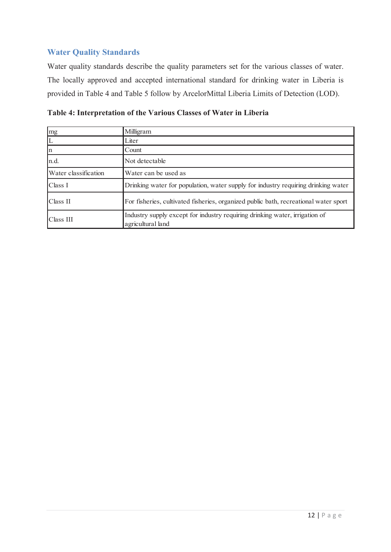#### **Water Quality Standards**

Water quality standards describe the quality parameters set for the various classes of water. The locally approved and accepted international standard for drinking water in Liberia is provided in Table 4 and Table 5 follow by ArcelorMittal Liberia Limits of Detection (LOD).

| Table 4: Interpretation of the Various Classes of Water in Liberia |  |  |  |  |  |
|--------------------------------------------------------------------|--|--|--|--|--|
|--------------------------------------------------------------------|--|--|--|--|--|

| mg                   | Milligram                                                                                        |
|----------------------|--------------------------------------------------------------------------------------------------|
|                      | Liter                                                                                            |
| $\mathbf n$          | Count                                                                                            |
| n.d.                 | Not detectable                                                                                   |
| Water classification | Water can be used as                                                                             |
| Class I              | Drinking water for population, water supply for industry requiring drinking water                |
| Class II             | For fisheries, cultivated fisheries, organized public bath, recreational water sport             |
| Class III            | Industry supply except for industry requiring drinking water, irrigation of<br>agricultural land |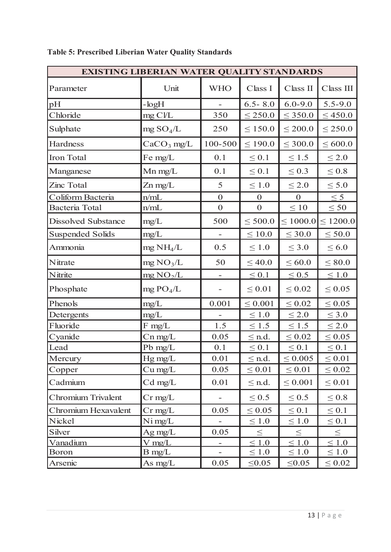| <b>EXISTING LIBERIAN WATER QUALITY STANDARDS</b> |                         |                          |                  |                  |               |  |  |
|--------------------------------------------------|-------------------------|--------------------------|------------------|------------------|---------------|--|--|
| Parameter                                        | Unit                    | <b>WHO</b>               | Class I          | Class II         | Class III     |  |  |
| pH                                               | $-logH$                 |                          | $6.5 - 8.0$      | $6.0 - 9.0$      | $5.5 - 9.0$   |  |  |
| Chloride                                         | mg Cl/L                 | 350                      | $\leq$ 250.0     | $\leq$ 350.0     | $\leq 450.0$  |  |  |
| Sulphate                                         | $mg$ SO <sub>4</sub> /L | 250                      | $\leq 150.0$     | $\leq 200.0$     | $\leq 250.0$  |  |  |
| Hardness                                         | $CaCO3$ mg/L            | 100-500                  | $\leq 190.0$     | $\leq 300.0$     | $\leq 600.0$  |  |  |
| Iron Total                                       | Fe mg/L                 | 0.1                      | $\leq 0.1$       | $\leq 1.5$       | $\leq 2.0$    |  |  |
| Manganese                                        | Mn mg/L                 | 0.1                      | $\leq 0.1$       | $\leq 0.3$       | $\leq 0.8$    |  |  |
| Zinc Total                                       | Zn mg/L                 | 5                        | $\leq 1.0$       | $\leq 2.0$       | $\leq 5.0$    |  |  |
| Coliform Bacteria                                | n/mL                    | $\boldsymbol{0}$         | $\boldsymbol{0}$ | $\boldsymbol{0}$ | $\leq 5$      |  |  |
| Bacteria Total                                   | n/mL                    | $\boldsymbol{0}$         | $\mathbf{0}$     | $\leq 10$        | $\leq 50$     |  |  |
| <b>Dissolved Substance</b>                       | mg/L                    | 500                      | $\leq 500.0$     | $\leq 1000.0$    | $\leq 1200.0$ |  |  |
| <b>Suspended Solids</b>                          | mg/L                    |                          | $\leq 10.0$      | $\leq 30.0$      | $\leq 50.0$   |  |  |
| Ammonia                                          | mg NH <sub>4</sub> /L   | 0.5                      | $\leq 1.0$       | $\leq 3.0$       | $\leq 6.0$    |  |  |
| Nitrate                                          | mg NO <sub>3</sub> /L   | 50                       | $\leq 40.0$      | $\leq 60.0$      | $\leq 80.0$   |  |  |
| Nitrite                                          | $mg\,NO_2/L$            | $\equiv$                 | $\leq 0.1$       | $\leq 0.5$       | $\leq 1.0$    |  |  |
| Phosphate                                        | mg PO <sub>4</sub> /L   |                          | $\leq 0.01$      | $\leq 0.02$      | $\leq 0.05$   |  |  |
| Phenols                                          | mg/L                    | 0.001                    | $\leq 0.001$     | $\leq 0.02$      | $\leq 0.05$   |  |  |
| Detergents                                       | mg/L                    |                          | $\leq 1.0$       | $\leq 2.0$       | $\leq 3.0$    |  |  |
| Fluoride                                         | $F$ mg/L                | 1.5                      | $\leq 1.5$       | $\leq 1.5$       | $\leq 2.0$    |  |  |
| Cyanide                                          | $Cn$ mg/L               | 0.05                     | $\leq$ n.d.      | $\leq 0.02$      | $\leq 0.05$   |  |  |
| Lead                                             | Pb $mg/L$               | 0.1                      | $\leq 0.1$       | $\leq 0.1$       | $\leq 0.1$    |  |  |
| Mercury                                          | Hg mg/L                 | 0.01                     | $\leq$ n.d.      | $\leq 0.005$     | $\leq 0.01$   |  |  |
| Copper                                           | $Cu$ mg/L               | 0.05                     | $\leq 0.01$      | $\leq 0.01$      | $\leq 0.02$   |  |  |
| Cadmium                                          | $Cd$ mg/L               | 0.01                     | $\leq$ n.d.      | $\leq 0.001$     | $\leq 0.01$   |  |  |
| Chromium Trivalent                               | $Cr$ mg/L               |                          | $\leq 0.5$       | $\leq 0.5$       | $\leq 0.8$    |  |  |
| Chromium Hexavalent                              | $Cr$ mg/L               | 0.05                     | $\leq 0.05$      | $\leq 0.1$       | $\leq 0.1$    |  |  |
| Nickel                                           | $N$ i mg/L              |                          | $\leq 1.0$       | $\leq 1.0$       | $\leq 0.1$    |  |  |
| Silver                                           | Ag mg/L                 | 0.05                     | $\leq$           | $\leq$           | $\leq$        |  |  |
| <b>Vanadium</b>                                  | $V \text{ mg/L}$        | $\overline{\phantom{a}}$ | $\leq 1.0$       | $\leq 1.0$       | $\leq 1.0$    |  |  |
| Boron                                            | $B$ mg/L                |                          | $\leq 1.0$       | $\leq 1.0$       | $\leq 1.0$    |  |  |
| Arsenic                                          | As $mg/L$               | 0.05                     | $\leq 0.05$      | $\leq 0.05$      | $\leq 0.02$   |  |  |

## **Table 5: Prescribed Liberian Water Quality Standards**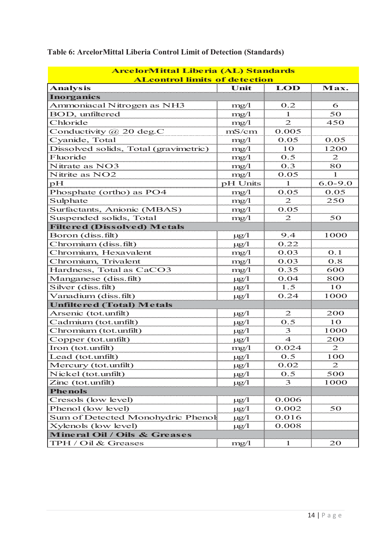| <b>ArcelorMittal Liberia (AL) Standards</b> |           |                             |                |  |  |  |  |
|---------------------------------------------|-----------|-----------------------------|----------------|--|--|--|--|
| <b>ALcontrol limits of detection</b>        |           |                             |                |  |  |  |  |
| <b>Analysis</b>                             | Unit      | LOD                         | Max.           |  |  |  |  |
| <b>Inorganics</b>                           |           |                             |                |  |  |  |  |
| Ammoniacal Nitrogen as NH3                  | mg/1      | 0.2                         | 6              |  |  |  |  |
| BOD, unfiltered                             | mg/1      | $\mathbf{1}$                | 50             |  |  |  |  |
| Chloride                                    | mg/1      | $\overline{2}$              | 450            |  |  |  |  |
| Conductivity @ 20 deg.C                     | mS/cm     | 0.005                       |                |  |  |  |  |
| Cyanide, Total                              | mg/1      | 0.05                        | 0.05           |  |  |  |  |
| Dissolved solids, Total (gravimetric)       | mg/1      | 10                          | 1200           |  |  |  |  |
| Fluoride                                    | mg/1      | 0.5                         | $\mathfrak{D}$ |  |  |  |  |
| Nitrate as NO3                              | mg/1      | 0.3                         | 80             |  |  |  |  |
| Nitrite as NO2                              | mg/1      | 0.05                        | 1              |  |  |  |  |
| рH                                          | pH Units  | 1                           | $6.0 - 9.0$    |  |  |  |  |
| Phosphate (ortho) as PO4                    | mg/1      | 0.05                        | 0.05           |  |  |  |  |
| Sulphate                                    | mg/1      | $\overline{2}$              | 250            |  |  |  |  |
| Surfactants, Anionic (MBAS)                 | mg/1      | 0.05                        |                |  |  |  |  |
| Suspended solids, Total                     | mg/1      | $\mathcal{D}_{\mathcal{L}}$ | 50             |  |  |  |  |
| <b>Filtered (Dissolved) Metals</b>          |           |                             |                |  |  |  |  |
| Boron (diss.filt)                           | $\mu$ g/1 | 9.4                         | 1000           |  |  |  |  |
| Chromium (diss.filt)                        | $\mu$ g/1 | 0.22                        |                |  |  |  |  |
| Chromium, Hexavalent                        | mg/1      | 0.03                        | 0.1            |  |  |  |  |
| Chromium, Trivalent                         | mg/1      | 0.03                        | 0.8            |  |  |  |  |
| Hardness, Total as CaCO3                    | mg/1      | 0.35                        | 600            |  |  |  |  |
| Manganese (diss.filt)                       | $\mu$ g/1 | 0.04                        | 800            |  |  |  |  |
| Silver (diss.filt)                          | $\mu$ g/1 | 1.5                         | 10             |  |  |  |  |
| Vanadium (diss.filt)                        | $\mu$ g/1 | 0.24                        | 1000           |  |  |  |  |
| <b>Unfiltered (Total) Metals</b>            |           |                             |                |  |  |  |  |
| Arsenic (tot.unfilt)                        | $\mu$ g/l | 2                           | 200            |  |  |  |  |
| Cadmium (tot.unfilt)                        | $\mu$ g/l | 0.5                         | 10             |  |  |  |  |
| Chromium (tot.unfilt)                       | $\mu$ g/1 | 3                           | 1000           |  |  |  |  |
| Copper (tot.unfilt)                         | $\mu$ g/1 | $\overline{4}$              | 200            |  |  |  |  |
| Iron (tot.unfilt)                           | mg/1      | 0.024                       | $\mathfrak{D}$ |  |  |  |  |
| Lead (tot.unfilt)                           | $\mu g/1$ | 0.5                         | 100            |  |  |  |  |
| Mercury (tot.unfilt)                        | $\mu g/l$ | 0.02                        | $\mathfrak{D}$ |  |  |  |  |
| Nickel (tot.unfilt)                         | $\mu$ g/l | 0.5                         | 500            |  |  |  |  |
| Zinc (tot.unfilt)                           | $\mu$ g/1 | 3                           | 1000           |  |  |  |  |
| <b>Phenols</b>                              |           |                             |                |  |  |  |  |
| Cresols (low level)                         | $\mu$ g/1 | 0.006                       |                |  |  |  |  |
| Phenol (low level)                          | $\mu$ g/1 | 0.002                       | 50             |  |  |  |  |
| Sum of Detected Monohydric Phenol           | $\mu$ g/l | 0.016                       |                |  |  |  |  |
| Xylenols (low level)                        | $\mu g/1$ | 0.008                       |                |  |  |  |  |
| <b>Mineral Oil / Oils &amp; Greases</b>     |           |                             |                |  |  |  |  |
| TPH / Oil & Greases                         | mg/l      |                             | 20             |  |  |  |  |

## **Table 6: ArcelorMittal Liberia Control Limit of Detection (Standards)**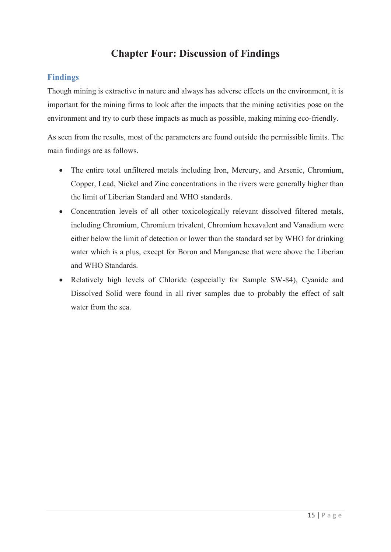## **Chapter Four: Discussion of Findings**

#### **Findings**

Though mining is extractive in nature and always has adverse effects on the environment, it is important for the mining firms to look after the impacts that the mining activities pose on the environment and try to curb these impacts as much as possible, making mining eco-friendly.

As seen from the results, most of the parameters are found outside the permissible limits. The main findings are as follows.

- The entire total unfiltered metals including Iron, Mercury, and Arsenic, Chromium, Copper, Lead, Nickel and Zinc concentrations in the rivers were generally higher than the limit of Liberian Standard and WHO standards.
- Concentration levels of all other toxicologically relevant dissolved filtered metals, including Chromium, Chromium trivalent, Chromium hexavalent and Vanadium were either below the limit of detection or lower than the standard set by WHO for drinking water which is a plus, except for Boron and Manganese that were above the Liberian and WHO Standards.
- Relatively high levels of Chloride (especially for Sample SW-84), Cyanide and Dissolved Solid were found in all river samples due to probably the effect of salt water from the sea.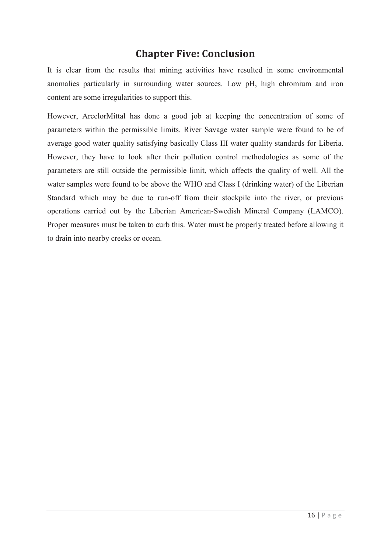## **Chapter Five: Conclusion**

It is clear from the results that mining activities have resulted in some environmental anomalies particularly in surrounding water sources. Low pH, high chromium and iron content are some irregularities to support this.

However, ArcelorMittal has done a good job at keeping the concentration of some of parameters within the permissible limits. River Savage water sample were found to be of average good water quality satisfying basically Class III water quality standards for Liberia. However, they have to look after their pollution control methodologies as some of the parameters are still outside the permissible limit, which affects the quality of well. All the water samples were found to be above the WHO and Class I (drinking water) of the Liberian Standard which may be due to run-off from their stockpile into the river, or previous operations carried out by the Liberian American-Swedish Mineral Company (LAMCO). Proper measures must be taken to curb this. Water must be properly treated before allowing it to drain into nearby creeks or ocean.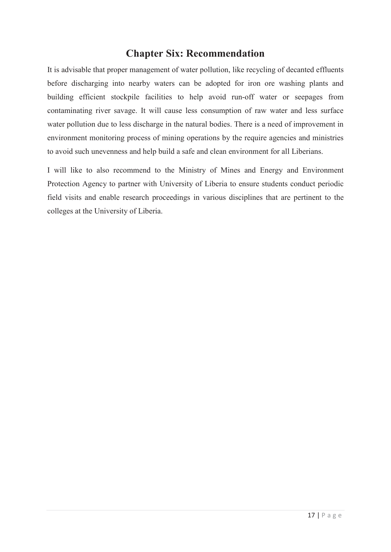### **Chapter Six: Recommendation**

It is advisable that proper management of water pollution, like recycling of decanted effluents before discharging into nearby waters can be adopted for iron ore washing plants and building efficient stockpile facilities to help avoid run-off water or seepages from contaminating river savage. It will cause less consumption of raw water and less surface water pollution due to less discharge in the natural bodies. There is a need of improvement in environment monitoring process of mining operations by the require agencies and ministries to avoid such unevenness and help build a safe and clean environment for all Liberians.

I will like to also recommend to the Ministry of Mines and Energy and Environment Protection Agency to partner with University of Liberia to ensure students conduct periodic field visits and enable research proceedings in various disciplines that are pertinent to the colleges at the University of Liberia.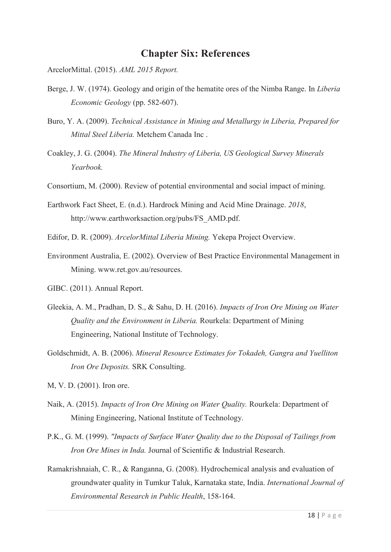#### **Chapter Six: References**

ArcelorMittal. (2015). *AML 2015 Report.*

- Berge, J. W. (1974). Geology and origin of the hematite ores of the Nimba Range. In *Liberia Economic Geology* (pp. 582-607).
- Buro, Y. A. (2009). *Technical Assistance in Mining and Metallurgy in Liberia, Prepared for Mittal Steel Liberia.* Metchem Canada Inc .
- Coakley, J. G. (2004). *The Mineral Industry of Liberia, US Geological Survey Minerals Yearbook.*
- Consortium, M. (2000). Review of potential environmental and social impact of mining.
- Earthwork Fact Sheet, E. (n.d.). Hardrock Mining and Acid Mine Drainage. *2018*, http://www.earthworksaction.org/pubs/FS\_AMD.pdf.
- Edifor, D. R. (2009). *ArcelorMittal Liberia Mining.* Yekepa Project Overview.
- Environment Australia, E. (2002). Overview of Best Practice Environmental Management in Mining. www.ret.gov.au/resources.
- GIBC. (2011). Annual Report.
- Gleekia, A. M., Pradhan, D. S., & Sahu, D. H. (2016). *Impacts of Iron Ore Mining on Water Quality and the Environment in Liberia.* Rourkela: Department of Mining Engineering, National Institute of Technology.
- Goldschmidt, A. B. (2006). *Mineral Resource Estimates for Tokadeh, Gangra and Yuelliton Iron Ore Deposits.* SRK Consulting.
- M, V. D. (2001). Iron ore.
- Naik, A. (2015). *Impacts of Iron Ore Mining on Water Quality.* Rourkela: Department of Mining Engineering, National Institute of Technology.
- P.K., G. M. (1999). *"Impacts of Surface Water Quality due to the Disposal of Tailings from Iron Ore Mines in Inda.* Journal of Scientific & Industrial Research.
- Ramakrishnaiah, C. R., & Ranganna, G. (2008). Hydrochemical analysis and evaluation of groundwater quality in Tumkur Taluk, Karnataka state, India. *International Journal of Environmental Research in Public Health*, 158-164.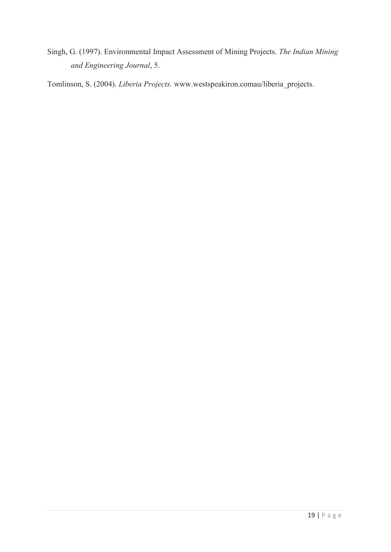Singh, G. (1997). Environmental Impact Assessment of Mining Projects. *The Indian Mining and Engineering Journal*, 5.

Tomlinson, S. (2004). *Liberia Projects.* www.westspeakiron.comau/liberia\_projects.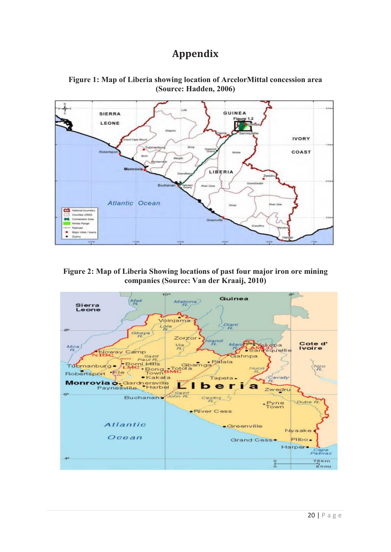## **Appendix**



**Figure 1: Map of Liberia showing location of ArcelorMittal concession area (Source: Hadden, 2006)**

#### **Figure 2: Map of Liberia Showing locations of past four major iron ore mining companies (Source: Van der Kraaij, 2010)**